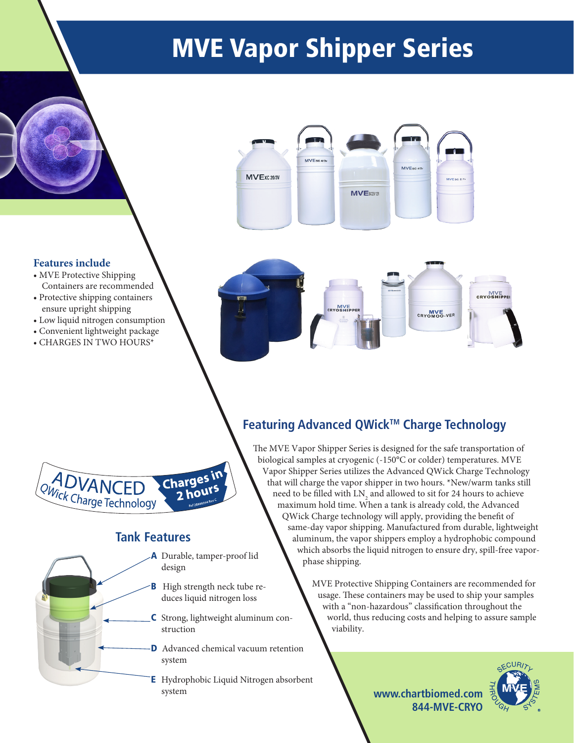# MVE Vapor Shipper Series



#### **Features include**

- MVE Protective Shipping Containers are recommended
- Protective shipping containers ensure upright shipping
- Low liquid nitrogen consumption
- Convenient lightweight package
- CHARGES IN TWO HOURS\*





### **Tank Features**

- A Durable, tamper-proof lid design
- **B** High strength neck tube reduces liquid nitrogen loss
- C Strong, lightweight aluminum construction
- **D** Advanced chemical vacuum retention system
- E Hydrophobic Liquid Nitrogen absorbent system

## **Featuring Advanced QWick™ Charge Technology**

The MVE Vapor Shipper Series is designed for the safe transportation of biological samples at cryogenic (-150°C or colder) temperatures. MVE Vapor Shipper Series utilizes the Advanced QWick Charge Technology that will charge the vapor shipper in two hours. \*New/warm tanks still need to be filled with  $\mathrm{LN}_\mathrm{2}$  and allowed to sit for 24 hours to achieve maximum hold time. When a tank is already cold, the Advanced QWick Charge technology will apply, providing the benefit of same-day vapor shipping. Manufactured from durable, lightweight aluminum, the vapor shippers employ a hydrophobic compound which absorbs the liquid nitrogen to ensure dry, spill-free vaporphase shipping.

> MVE Protective Shipping Containers are recommended for usage. These containers may be used to ship your samples with a "non-hazardous" classification throughout the world, thus reducing costs and helping to assure sample viability.



**www.chartbiomed.com 844-MVE-CRYO**